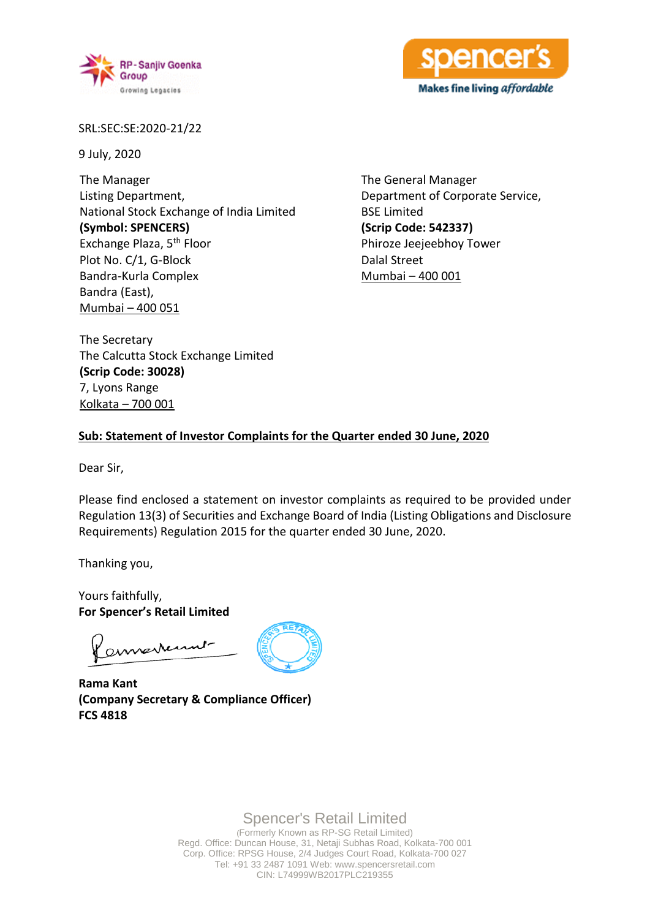



SRL:SEC:SE:2020-21/22

9 July, 2020

The Manager Listing Department, National Stock Exchange of India Limited **(Symbol: SPENCERS)** Exchange Plaza, 5th Floor Plot No. C/1, G-Block Bandra-Kurla Complex Bandra (East), Mumbai – 400 051

The General Manager Department of Corporate Service, BSE Limited **(Scrip Code: 542337)** Phiroze Jeejeebhoy Tower Dalal Street Mumbai – 400 001

The Secretary The Calcutta Stock Exchange Limited **(Scrip Code: 30028)** 7, Lyons Range Kolkata – 700 001

### **Sub: Statement of Investor Complaints for the Quarter ended 30 June, 2020**

Dear Sir,

Please find enclosed a statement on investor complaints as required to be provided under Regulation 13(3) of Securities and Exchange Board of India (Listing Obligations and Disclosure Requirements) Regulation 2015 for the quarter ended 30 June, 2020.

Thanking you,

Yours faithfully, **For Spencer's Retail Limited**

annexternt

**Rama Kant (Company Secretary & Compliance Officer) FCS 4818**



Spencer's Retail Limited

(Formerly Known as RP-SG Retail Limited) Regd. Office: Duncan House, 31, Netaji Subhas Road, Kolkata-700 001 Corp. Office: RPSG House, 2/4 Judges Court Road, Kolkata-700 027 Tel: +91 33 2487 1091 Web: www.spencersretail.com CIN: L74999WB2017PLC219355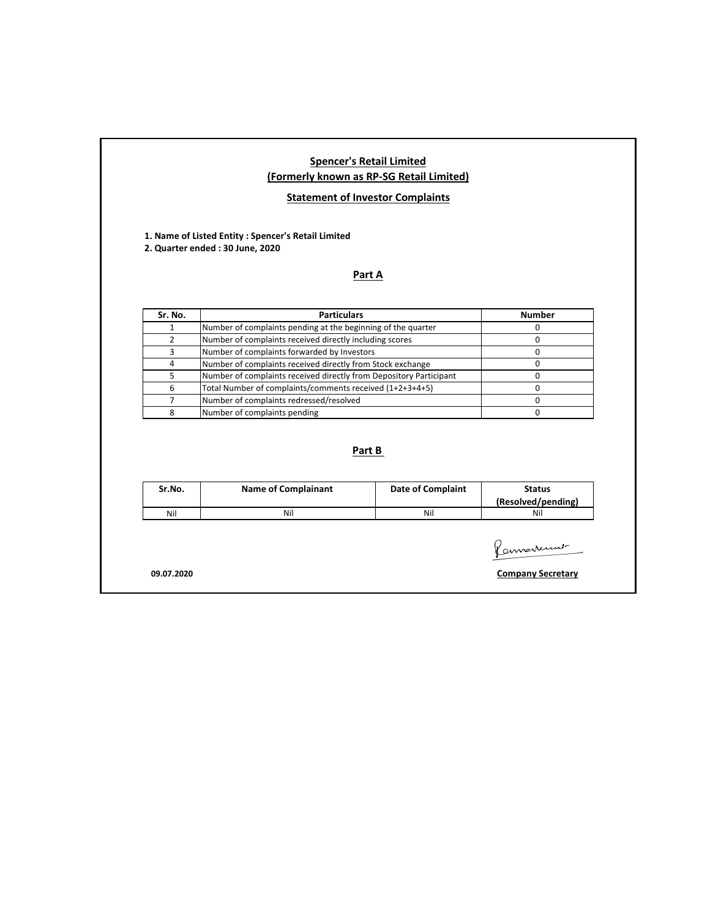## **Spencer's Retail Limited (Formerly known as RP-SG Retail Limited)**

# **Statement of Investor Complaints**

**1. Name of Listed Entity : Spencer's Retail Limited 2. Quarter ended : 30 June, 2020**

### **Part A**

| Sr. No. | <b>Particulars</b>                                                 | <b>Number</b> |  |  |
|---------|--------------------------------------------------------------------|---------------|--|--|
|         | Number of complaints pending at the beginning of the quarter       |               |  |  |
|         | Number of complaints received directly including scores            |               |  |  |
|         | Number of complaints forwarded by Investors                        |               |  |  |
|         | Number of complaints received directly from Stock exchange         |               |  |  |
|         | Number of complaints received directly from Depository Participant |               |  |  |
|         | Total Number of complaints/comments received (1+2+3+4+5)           |               |  |  |
|         | Number of complaints redressed/resolved                            |               |  |  |
|         | Number of complaints pending                                       |               |  |  |

## **Part B**

| Sr.No. | <b>Name of Complainant</b> | <b>Date of Complaint</b> | <b>Status</b><br>(Resolved/pending) |
|--------|----------------------------|--------------------------|-------------------------------------|
| Nil    | Nil                        | Nil                      | Nil                                 |

Permaneument-

**09.07.2020 Company Secretary**